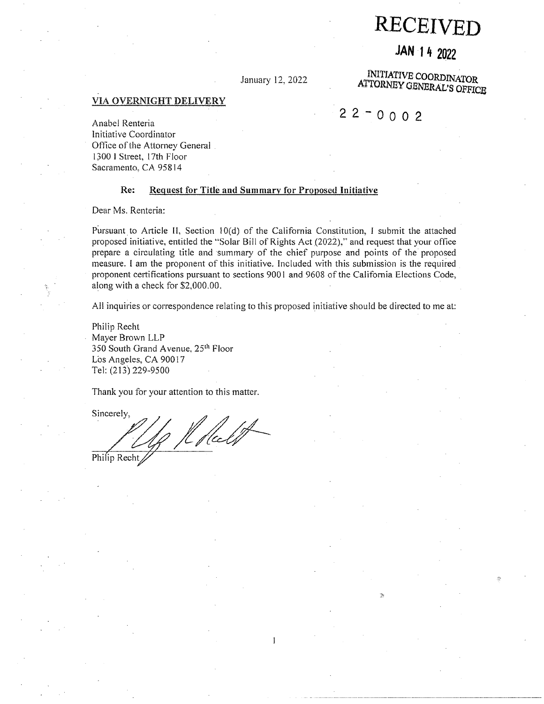**RECEIVE** 

# **JAN ·14 2022**

January 12, 2022

INITIATIVE **COORDINATOR, ATTORNEY OBNERAL'S OFFICB** 

## **VIA OVERNIGHT DELIVERY**

# $22 - 0002$

Anabel Renteria Initiative Coordinator Office of the Attorney General . 1300 I Street, 17th Floor Sacramento, CA 95814

### **Re: Request for Title and Summary for Proposed Initiative**

Dear Ms. Renteria:

Pursuant to Article II, Section  $10(d)$  of the California Constitution, I submit the attached proposed initiative, entitled the "Solar Bill of Rights Act (2022)," and request that your office prepare a circulating title and ·summary of the chief purpose and points of the proposed measure. I am the proponent of this initiative. Included with this submission is the required proponent certifications pursuant to sections 9001 and 9608 of the California Elections Code, along with a check for \$2,000.00.

All inquiries or correspondence relating to this proposed initiative should be directed to me at:

 $\mathbf{1}$ 

Philip Recht Mayer Brown LLP 350 South Grand Avenue, 25<sup>th</sup> Floor Los Angeles, CA 90017 Tel: {213) 229-9500

Thank you for your attention to this matter.

Sincerely, 1 Kfleet Philip Recht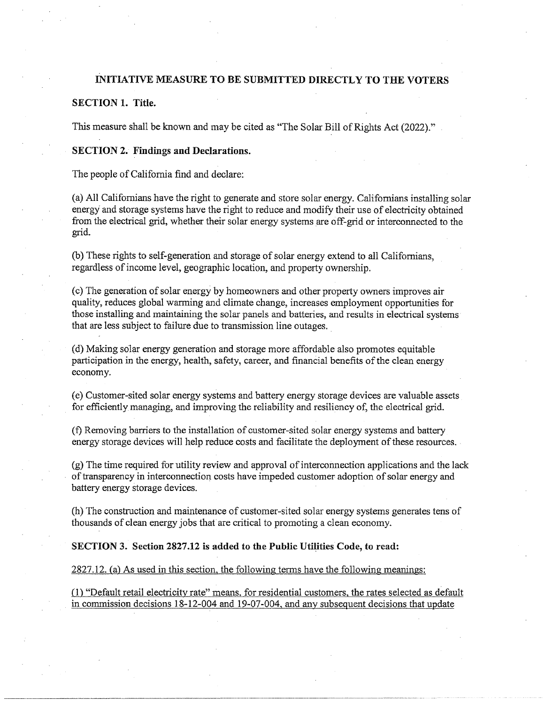# **INITIATIVE MEASURE TO BE SUBMITTED DIRECTLY TO THE VOTERS**

# **SECTION 1. Title.**

This measure shall be known and may be cited as "The Solar Bill of Rights Act (2022)."

## **SECTION 2. Findings and Declarations.**

The people of California find and declare:

(a) All Californians have the right to generate and store solar energy. Californians installing solar energy and storage systems have the right to reduce and modify their use of electricity obtained from the electrical grid, whether their solar energy systems \_are off-grid or interconnected to the grid.

(b) These rights to self-generation and storage of solar energy extend to all Californians, regardless of income level, geographic location, and property ownership.

( c) The generation of solar energy by homeowners and other property owners improves air quality, reduces global wanning and climate change, increases employment opportunities for those installing and maintaining the solar panels and batteries, and results in electrical systems that are less subject to failure due to transmission line outages. \_

(d) Making so1ar energy generation and storage more affordable also promotes equitable participation in the energy, health, safety, career, and financial benefits of the clean energy economy.

( e) Customer-sited solar energy systems and battery energy storage devices are valuable assets \_ for efficiently managing, and improving the reliability and resiliency of, the electrical grid.

(f) Removing barriers to the installation of customer-sited solar energy systems and battery energy storage devices will help reduce costs and facilitate the deployment of these resources. -

(g) The time required for utility review and approval of interconnection applications and the lack of transparency in interconnection costs have impeded customer adoption of solar energy and battery energy storage devices.

(h) The construction and maintenance of customer-sited solar energy systems generates tens of thousands of clean energy jobs that are critical to promoting a clean economy.

#### **SECTION 3. Section 2827.12 is· added to the Public Utilities Code, to read:**

## 2827.12. (a) As used in this section, the following terms have the following meanings:

(1) "Default retail electricity rate" means. for residential customers. the rates selected as default in commission decisions 18-12-004 and 19-07-004, and any subsequent decisions that update

-----------------------------------------------~--------- -----------------------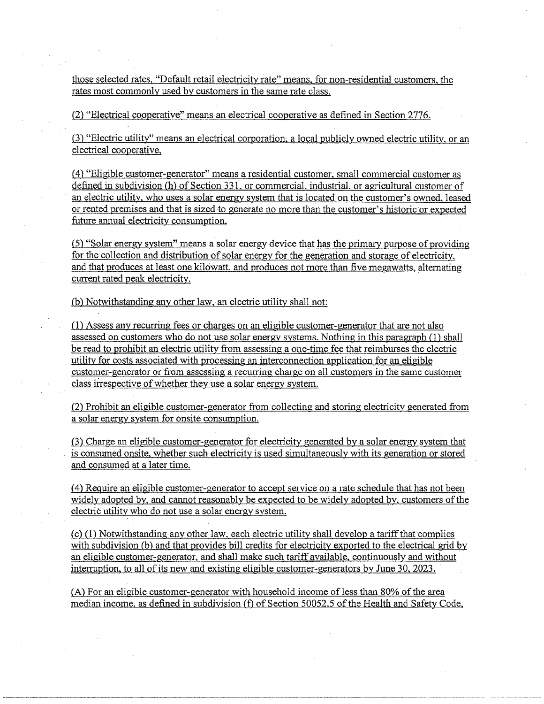those selected rates. "Default retail electricity rate" means, for non-residential customers, the rates most commonly used by customers in the same rate class.

(2) "Electrical cooperative" means an electrical cooperative as defined in Section 2776.

(3) "Electric utility" means an electrical corporation; a local publicly owned electric utility, or an electrical cooperative,

*(* 4) "Eligible customer-generator" means a residential customer. small commercial customer as defined in subdivision (h) of Section 331, or commercial. industrial, or agricultural customer of an electric utility, who uses a solar energy system that is located on the customer's owned, leased or rented premises and that is sized to generate no more than the customer's historic or expected future annual electricity consumption.

 $(5)$  "Solar energy system" means a solar energy device that has the primary purpose of providing for the collection and distribution of solar energy for the generation and storage of electricity, and that produces at least one kilowatt, and produces not more than five megawatts. alternating current rated peak electricity.

(b) Notwithstanding any other law, an electric utility shall not:

(1) Assess any recurring fees or charges on an eligible customer-generator that are not also assessed on customers who do not use solar energy systems. Nothing in this paragraph (1) shall be read to prohibit an electric utility from assessing a one-time fee that reimburses the electric utility for costs associated with processing an interconnection application for an eligible customer-generator or from assessing a recurring charge on all customers in the same customer class irrespective of whether they use a solar energy system.

(2) Prohibit an eligible customer-generator from collecting and storing electricity generated from a solar energy system for onsite consumption.

(3) Charge an eligible customer-generator for electricity generated by a solar energy system that is consumed onsite. whether such electricity is used simultaneously with its generation or stored and consumed at a later time.

( 4) Require an eligible customer-generator to accept service on a rate schedule that has not been widely adopted by. and cannot reasonably be expected to be widely adopted by, customers of the electric utility who do not use a solar energy system.

(c) (I) Notwithstanding any other law, each electric utility shall develop a tariff that complies with subdivision (b) and that provides bill credits for electricity exported to the electrical grid by an eligible customer-generator, and shall make such tariff available, continuously and without interruption, to all of its new and existing eligible customer-generators by June 30, 2023.

(A) For an eligible customer-generator with household income ofless than 80% of the area median income. as defined in subdivision (f) of Section 50052.5 of the Health and Safety Code,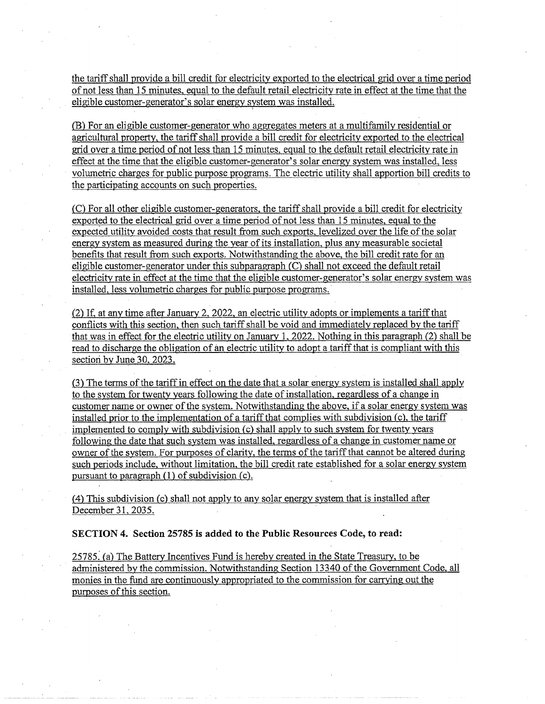the tariff shall provide a bill credit for electricity exported to the electrical grid over a time period of not less than 15 minutes, egual to the default retail electricity rate in effect at the time that the eligible customer-generator's solar energy system was installed ..

(B) For an eligible customer-generator who aggregates meters at a multifamily residential or agricultural property, the tariff shall provide a bill credit for electricity exported to the electrical grid over a time period of not less than 15 minutes, equal to the default retail electricity rate in effect at the time that the eligible customer-generator's solar energy system was installed, less volumetric charges for public purpose programs. The electric utility shall apportion bill credits to the participating accounts on such properties.

(C) For all other eligible customer-generators, the tariff shall provide a bill credit for electricity (C) For an other engine customer-generators, the tariff sharp provide a biff credit for electron electrical grid over a time period of not less than 15 minutes, equal to the expected utility avoided costs that result from such exports, levelized over the life of the solar energy system as measured during the year of its installation. plus any measurable societal benefits that result from such exports. Notwithstanding the above, the bill credit rate for an eligible customer-generator under this subparagraph (C) shall not exceed the default retail electricity rate in effect at the time that the eligible customer-generator's solar energy system was installed. less volumetric charges for public purpose programs.

(2) If, at any time after January 2. 2022, an electric utility adopts or implements a tariff that conflicts with this section, then such tariff shall be void and immediately replaced by the tariff that was in effect for the electric utility on January 1, 2022. Nothing in this paragraph (2) shall be read to discharge the obligation of an electric utility to adopt a tariff that is compliant with this section by June 30, 2023.

(3) The terms of the tariff in effect on the date that a solar energy system is installed shall apply to the system for twenty years following the date of installation, regardless of a change in customer name or owner of the system. Notwithstanding the above, if a solar energy system was installed prior to the implementation of a tariff that complies with subdivision (c), the tariff implemented to comply with subdivision (c) shall apply to such.system for twenty years following the date that such system was installed, regardless of a change in customer name or owner of the system. For purposes of clarity, the terms of the tariff that cannot be altered during such periods include, without limitation. the bill credit rate established for a solar energy system pursuant to paragraph (1) of subdivision (c).

(4) This subdivision (c) shall not apply to any solar energy system that is installed after December 31. 2035.

**SECTION 4. Section 25785 is added to the Public Resources Code, to read:** 

25785: (a) The Battezy Incentives Fund is hereby created in the State Treasuzy, to be administered by the commission. Notwithstanding Section 13340 of the Government Code, all monies in the fund are continuously appropriated to the commission for carrying out the purposes of this section.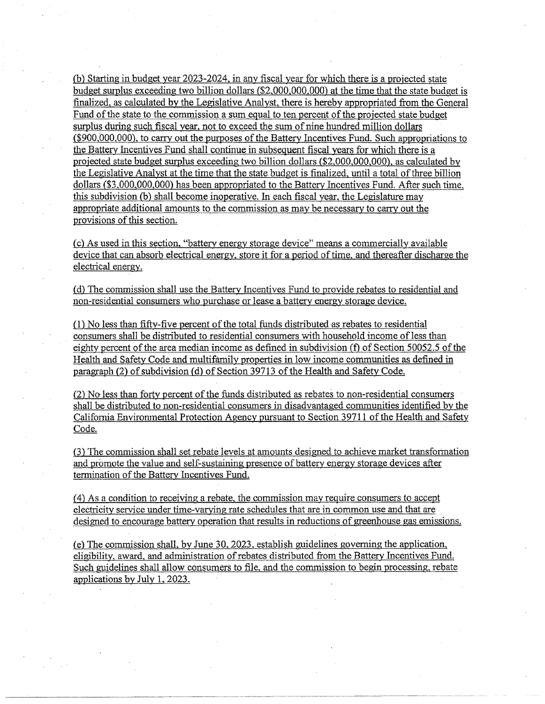(b) Starting in budget year 2023-2024, in any fiscal year for which there is a projected state budget surplus exceeding two billion dollars (\$2.000.000,000) at the time that the state budget is finalized, as calculated by the Legislative Analyst, there is hereby appropriated from the General Fund of the state to the commission a sum equal to ten percent of the projected state budget surplus during such fiscal year, not to exceed the sum of nine hundred million dollars (\$900,000,000). to carry out the purposes of the Battery Incentives Fund. Such appropriations to the Battery Incentives Fund shall continue in subsequent fiscal years for which there is a projected state budget surplus exceeding two billion dollars (\$2.000,000,000), as calculated by the Legislative Analyst at the time that the state budget is finalized, until a total of three billion dollars (\$3,000,000,000) has been appropriated to the Battery Incentives Fund. After such time, this subdivision (b) shall become inoperative. In each fiscal year, the Legislature may appropriate additional amounts to the commission as may be necessary to carry out the provisions of this section.

(c) As used in this section, "battery energy storage device" means a commercially available device that can absorb electrical energy. store it for a period of time, and thereafter discharge the electrical energy.

(d) The commission shall use the Battery Incentives Fund to provide rebates to residential and non-residential consumers who purchase or lease a battery energy storage device.

(1) No less than fifty-five percent of the total funds distributed as rebates to residential consumers shall be distributed to residential consumers with household income of less than eighty percent of the area median income as defined in subdivision (f) of Section 50052.5 of the Health and Safety Code and multifamily properties in low income communities as defined in paragraph (2) of subdivision (d) of Section 39713 of the Health and Safety Code.

(2) No- less than forty percent of the funds distributed as rebates to non-residential consumers shall be distributed to non-residential consumers in disadvantaged communities identified by the California Environmental Protection Agency pursuant to Section 39711 of the Health and Safety Code.

(3) The commission shall set rebate levels at amounts designed to achieve market transformation and promote the value and self-sustaining presence of battery energy storage devices after termination of the Battery Incentives Fund.

( 4) As a condition to receiving a rebate, the commission may require consumers to accept electricity service under time-varying rate schedules that are in common use and that are designed to encourage battery operation that results in reductions of greenhouse gas emissions.

(e) The commission shall, by June 30, 2023. establish guidelines governing the application, eligibility, award, and administration ofrebates distributed from the Battery Incentives Fund. Such guidelines shall allow consumers to file, and the commission to begin processing, rebate applications by July 1. 2023.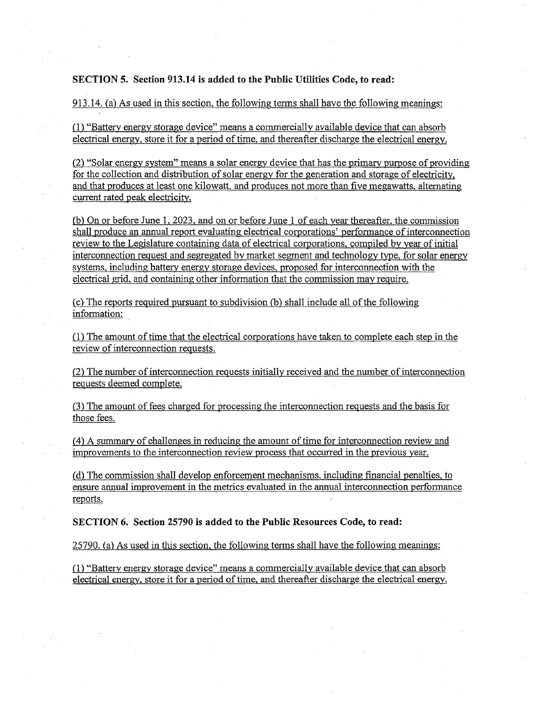# **SECTION 5. Section 913.14 is added to the Public Utilities Code, to read:**

# 913.14. (a) As used in this section. the following terms shall have the following meanings:

(1) "Battery energy storage device" means a commercially available device that can absorb electrical energy, store it for a period of time, and thereafter discharge the electrical energy.

(2) "Solar energy system" means a solar energy device that has the primary purpose of providing for the collection and distribution of solar energy for the generation and storage of electricity, and that produces at least one kilowatt, and produces not more than five megawatts. alternating current rated peak electricity.

fb) On or before June 1. 2023, and on or before June 1 of each year thereafter, the commission shall produce an annual report evaluating electrical corporations' performance of interconnection review to the Legislature containing data of electrical corporations, compiled by year of initial interconnection request and segregated by market segment and technology type. for solar energy systems, including battery energy storage devices, proposed for interconnection with the electrical grid. and containing other information that the commission may require.

(c) The reports required pursuant to subdivision (b) shall include all of the following information:

(1) The amount of time that the electrical corporations have taken to complete each step in the review of interconnection requests.

(2) The number of interconnection requests initially received and the number of interconnection requests deemed complete.

(3) The amount of fees charged for processing the interconnection requests and the basis for those fees.

*(* 4) A summary of challenges in reducing the amount of time for interconnection review and improvements to the interconnection review process that occurred in the previous year.

(d) The commission shall develop enforcement mechanisms. including financial penalties, to ensure annual improvement in the metrics evaluated in the annual interconnection performance reports.

**SECTION 6. Section 25790 is added to the Public Resources Code, to read:** 

# 25790. (a) As used in this section, the following terms shall have the following meanings:

(1) "Battery energy storage device" means a commercially available device that can absorb electrical energy, store it for a period of time, and thereafter discharge the electrical energy.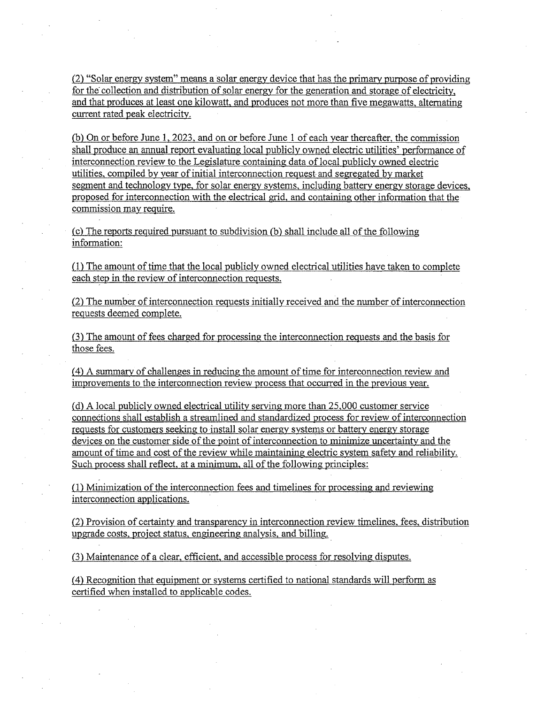(2) "Solar energy system" means a solar energy device that has the primary purpose of providing for the collection and distribution of solar energy for the generation and storage of electricity, and that produces at least one kilowatt, and produces not more than five megawatts, alternating current rated peak electricity.

(b) On or before June 1, 2023. and on or before June 1 of each year thereafter, the commission shall produce an annual report evaluating local publicly owned·electric utilities' performance of interconnection review to the Legislature containing data of local publicly owned electric utilities. compiled by year of initial interconnection request- and segregated by market segment and technology type, for solar energy systems, including battery energy storage devices, proposed for interconnection with the electrical grid, and containing other information that the commission may require.

 $(c)$  The reports required pursuant to subdivision  $(b)$  shall include all of the following information:

(1) The amount of time that the local publicly owned electrical utilities have taken to complete each step in the review of interconnection requests.

(2) The number of interconnection requests initially received and the number of interconnection requests deemed complete.

(3) The amount of fees charged for.processing the interconnection requests and the basis for those fees.

(4) A summary of challenges in reducing the amount of time for interconnection review and improvements to the interconnection review process that occurred in the previous year.

(d) A local publicly owned electrical utility serving more than 25,000 customer service connections shall establish a streamlined and standardized process for review of interconnection requests for customers seeking to install solar energy systems or battery energy storage devices on the customer side of the point of interconnection to minimize uncertainty and the amount of time and cost of the review while maintaining electric system safety and reliability. \_ Such process shall reflect, at a minimum, all of the following principles:

(1) Minimization of the interconnection fees and timelines for processing and reviewing interconnection applications.

(2) Provision of certainty and transparency in interconnection review timelines. fees, distribution upgrade costs. project status, engineering analysis, and billing. \_

C3) Maintenance of a clear, efficient, and accessible process for resolving disputes.

*(* 4) Recognition that equipment or systems certified to national standards will perform as certified when installed to applicable codes.